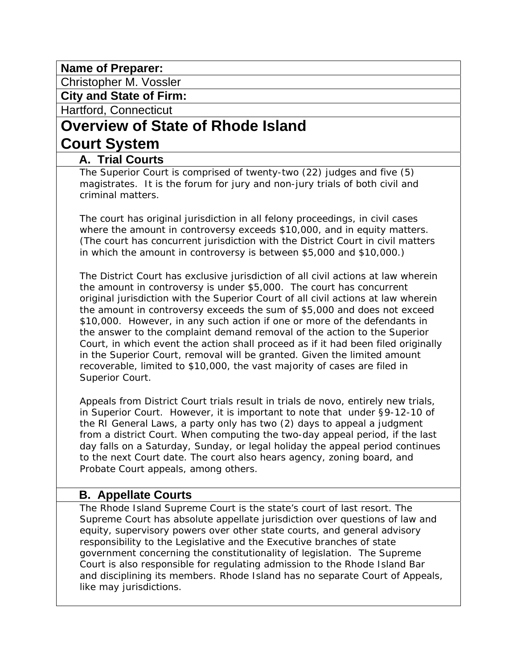# **Name of Preparer:**

Christopher M. Vossler

**City and State of Firm:** 

Hartford, Connecticut

# **Overview of State of Rhode Island Court System**

# **A. Trial Courts**

The Superior Court is comprised of twenty-two (22) judges and five (5) magistrates. It is the forum for jury and non-jury trials of both civil and criminal matters.

The court has original jurisdiction in all felony proceedings, in civil cases where the amount in controversy exceeds \$10,000, and in equity matters. (The court has concurrent jurisdiction with the District Court in civil matters in which the amount in controversy is between \$5,000 and \$10,000.)

The District Court has exclusive jurisdiction of all civil actions at law wherein the amount in controversy is under \$5,000. The court has concurrent original jurisdiction with the Superior Court of all civil actions at law wherein the amount in controversy exceeds the sum of \$5,000 and does not exceed \$10,000. However, in any such action if one or more of the defendants in the answer to the complaint demand removal of the action to the Superior Court, in which event the action shall proceed as if it had been filed originally in the Superior Court, removal will be granted. Given the limited amount recoverable, limited to \$10,000, the vast majority of cases are filed in Superior Court.

Appeals from District Court trials result in trials de novo, entirely new trials, in Superior Court. However, it is important to note that under §9-12-10 of the RI General Laws, a party only has two (2) days to appeal a judgment from a district Court. When computing the two-day appeal period, if the last day falls on a Saturday, Sunday, or legal holiday the appeal period continues to the next Court date. The court also hears agency, zoning board, and Probate Court appeals, among others.

# **B. Appellate Courts**

The Rhode Island Supreme Court is the state's court of last resort. The Supreme Court has absolute appellate jurisdiction over questions of law and equity, supervisory powers over other state courts, and general advisory responsibility to the Legislative and the Executive branches of state government concerning the constitutionality of legislation. The Supreme Court is also responsible for regulating admission to the Rhode Island Bar and disciplining its members. Rhode Island has no separate Court of Appeals, like may jurisdictions.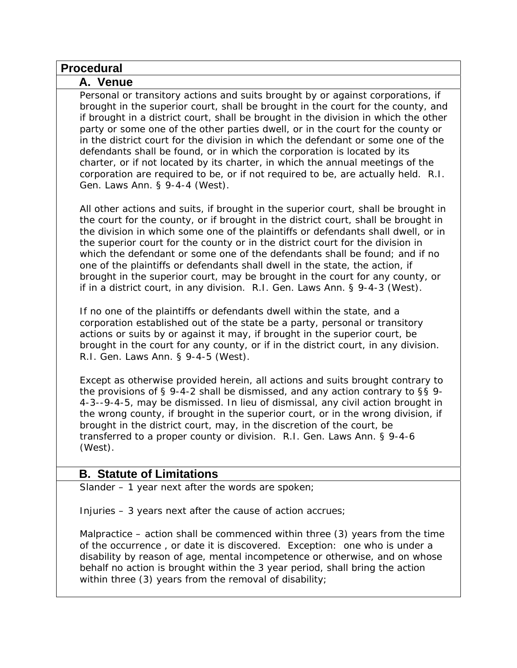| <b>Procedural</b>                                                                                                                                                                                                                                                                                                                                                                                                                                                                                                                                                                                                                                                                                                      |
|------------------------------------------------------------------------------------------------------------------------------------------------------------------------------------------------------------------------------------------------------------------------------------------------------------------------------------------------------------------------------------------------------------------------------------------------------------------------------------------------------------------------------------------------------------------------------------------------------------------------------------------------------------------------------------------------------------------------|
| A. Venue                                                                                                                                                                                                                                                                                                                                                                                                                                                                                                                                                                                                                                                                                                               |
| Personal or transitory actions and suits brought by or against corporations, if<br>brought in the superior court, shall be brought in the court for the county, and<br>if brought in a district court, shall be brought in the division in which the other<br>party or some one of the other parties dwell, or in the court for the county or<br>in the district court for the division in which the defendant or some one of the<br>defendants shall be found, or in which the corporation is located by its<br>charter, or if not located by its charter, in which the annual meetings of the<br>corporation are required to be, or if not required to be, are actually held. R.I.<br>Gen. Laws Ann. § 9-4-4 (West). |
| All other actions and suits, if brought in the superior court, shall be brought in<br>the court for the county, or if brought in the district court, shall be brought in<br>the division in which some one of the plaintiffs or defendants shall dwell, or in<br>the superior court for the county or in the district court for the division in<br>which the defendant or some one of the defendants shall be found; and if no<br>one of the plaintiffs or defendants shall dwell in the state, the action, if<br>brought in the superior court, may be brought in the court for any county, or<br>if in a district court, in any division. R.I. Gen. Laws Ann. § 9-4-3 (West).                                        |
| If no one of the plaintiffs or defendants dwell within the state, and a<br>corporation established out of the state be a party, personal or transitory<br>actions or suits by or against it may, if brought in the superior court, be<br>brought in the court for any county, or if in the district court, in any division.<br>R.I. Gen. Laws Ann. § 9-4-5 (West).                                                                                                                                                                                                                                                                                                                                                     |
| Except as otherwise provided herein, all actions and suits brought contrary to<br>the provisions of § 9-4-2 shall be dismissed, and any action contrary to §§ 9-<br>4-3--9-4-5, may be dismissed. In lieu of dismissal, any civil action brought in<br>the wrong county, if brought in the superior court, or in the wrong division, if<br>brought in the district court, may, in the discretion of the court, be<br>transferred to a proper county or division. R.I. Gen. Laws Ann. § 9-4-6<br>(West).                                                                                                                                                                                                                |
| <b>B. Statute of Limitations</b>                                                                                                                                                                                                                                                                                                                                                                                                                                                                                                                                                                                                                                                                                       |
| Slander $-1$ year next after the words are spoken;                                                                                                                                                                                                                                                                                                                                                                                                                                                                                                                                                                                                                                                                     |
| Injuries - 3 years next after the cause of action accrues;                                                                                                                                                                                                                                                                                                                                                                                                                                                                                                                                                                                                                                                             |
| Malpractice – action shall be commenced within three (3) years from the time<br>of the occurrence, or date it is discovered. Exception: one who is under a<br>disability by reason of age, mental incompetence or otherwise, and on whose<br>behalf no action is brought within the 3 year period, shall bring the action<br>within three (3) years from the removal of disability;                                                                                                                                                                                                                                                                                                                                    |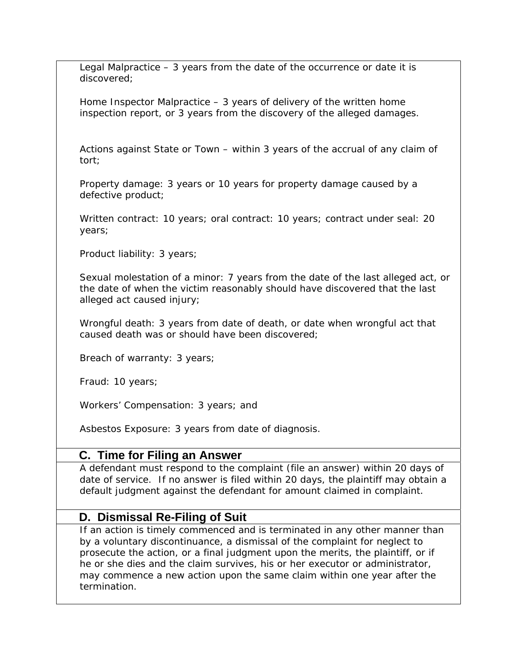Legal Malpractice  $-3$  years from the date of the occurrence or date it is discovered;

Home Inspector Malpractice – 3 years of delivery of the written home inspection report, or 3 years from the discovery of the alleged damages.

Actions against State or Town – within 3 years of the accrual of any claim of tort;

Property damage: 3 years or 10 years for property damage caused by a defective product;

Written contract: 10 years; oral contract: 10 years; contract under seal: 20 years;

Product liability: 3 years;

Sexual molestation of a minor: 7 years from the date of the last alleged act, or the date of when the victim reasonably should have discovered that the last alleged act caused injury;

Wrongful death: 3 years from date of death, or date when wrongful act that caused death was or should have been discovered;

Breach of warranty: 3 years;

Fraud: 10 years;

Workers' Compensation: 3 years; and

Asbestos Exposure: 3 years from date of diagnosis.

# **C. Time for Filing an Answer**

A defendant must respond to the complaint (file an answer) within 20 days of date of service. If no answer is filed within 20 days, the plaintiff may obtain a default judgment against the defendant for amount claimed in complaint.

# **D. Dismissal Re-Filing of Suit**

If an action is timely commenced and is terminated in any other manner than by a voluntary discontinuance, a dismissal of the complaint for neglect to prosecute the action, or a final judgment upon the merits, the plaintiff, or if he or she dies and the claim survives, his or her executor or administrator, may commence a new action upon the same claim within one year after the termination.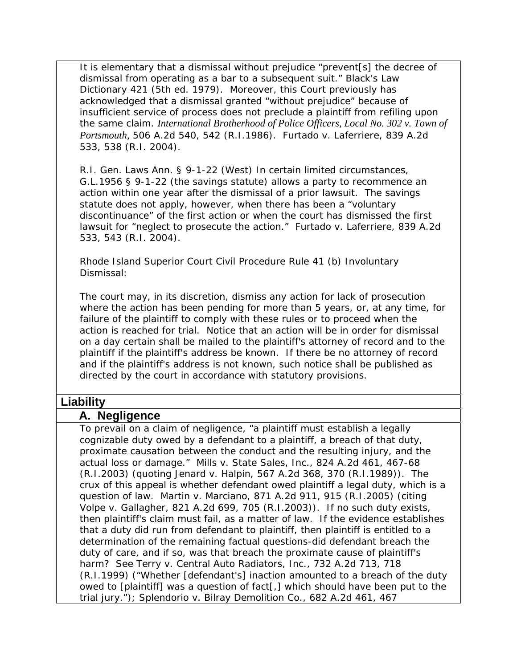It is elementary that a dismissal without prejudice "prevent[s] the decree of dismissal from operating as a bar to a subsequent suit." Black's Law Dictionary 421 (5th ed. 1979). Moreover, this Court previously has acknowledged that a dismissal granted "without prejudice" because of insufficient service of process does not preclude a plaintiff from refiling upon the same claim. *International Brotherhood of Police Officers, Local No. 302 v. Town of Portsmouth,* 506 A.2d 540, 542 (R.I.1986). Furtado v. Laferriere, 839 A.2d 533, 538 (R.I. 2004).

R.I. Gen. Laws Ann. § 9-1-22 (West) In certain limited circumstances, G.L.1956 § 9-1-22 (the savings statute) allows a party to recommence an action within one year after the dismissal of a prior lawsuit. The savings statute does not apply, however, when there has been a "voluntary discontinuance" of the first action or when the court has dismissed the first lawsuit for "neglect to prosecute the action." Furtado v. Laferriere, 839 A.2d 533, 543 (R.I. 2004).

Rhode Island Superior Court Civil Procedure Rule 41 (b) Involuntary Dismissal:

The court may, in its discretion, dismiss any action for lack of prosecution where the action has been pending for more than 5 years, or, at any time, for failure of the plaintiff to comply with these rules or to proceed when the action is reached for trial. Notice that an action will be in order for dismissal on a day certain shall be mailed to the plaintiff's attorney of record and to the plaintiff if the plaintiff's address be known. If there be no attorney of record and if the plaintiff's address is not known, such notice shall be published as directed by the court in accordance with statutory provisions.

### **Liability**

#### **A. Negligence**

To prevail on a claim of negligence, "a plaintiff must establish a legally cognizable duty owed by a defendant to a plaintiff, a breach of that duty, proximate causation between the conduct and the resulting injury, and the actual loss or damage." *Mills v. State Sales, Inc.,* 824 A.2d 461, 467-68 (R.I.2003) (quoting *Jenard v. Halpin,* 567 A.2d 368, 370 (R.I.1989)). The crux of this appeal is whether defendant owed plaintiff a legal duty, which is a question of law. *Martin v. Marciano,* 871 A.2d 911, 915 (R.I.2005) (citing *Volpe v. Gallagher,* 821 A.2d 699, 705 (R.I.2003)). If no such duty exists, then plaintiff's claim must fail, as a matter of law. If the evidence establishes that a duty did run from defendant to plaintiff, then plaintiff is entitled to a determination of the remaining factual questions-did defendant breach the duty of care, and if so, was that breach the proximate cause of plaintiff's harm? *See Terry v. Central Auto Radiators, Inc.,* 732 A.2d 713, 718 (R.I.1999) ("Whether [defendant's] inaction amounted to a breach of the duty owed to [plaintiff] was a question of fact[,] which should have been put to the trial jury."); *Splendorio v. Bilray Demolition Co.,* 682 A.2d 461, 467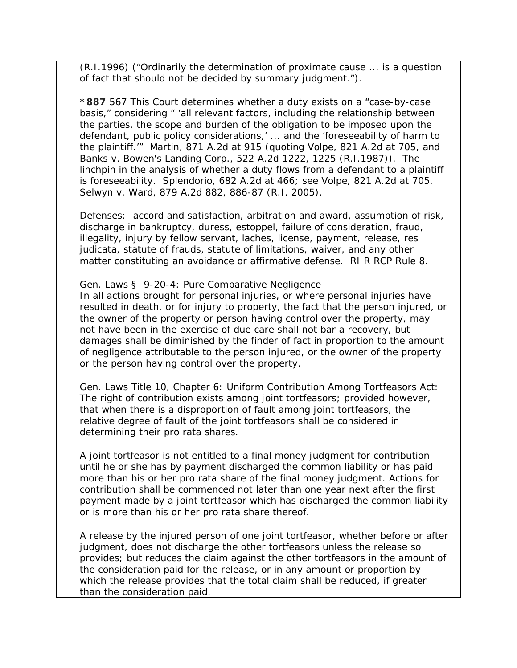(R.I.1996) ("Ordinarily the determination of proximate cause ... is a question of fact that should not be decided by summary judgment.").

**\*887** 567 This Court determines whether a duty exists on a "case-by-case basis," considering " 'all relevant factors, including the relationship between the parties, the scope and burden of the obligation to be imposed upon the defendant, public policy considerations,' ... and the 'foreseeability of harm to the plaintiff.'" *Martin,* 871 A.2d at 915 (quoting *Volpe,* 821 A.2d at 705, and *Banks v. Bowen's Landing Corp.,* 522 A.2d 1222, 1225 (R.I.1987)). The linchpin in the analysis of whether a duty flows from a defendant to a plaintiff is foreseeability. *Splendorio,* 682 A.2d at 466; *see Volpe,* 821 A.2d at 705. *Selwyn v. Ward*, 879 A.2d 882, 886-87 (R.I. 2005).

Defenses: accord and satisfaction, arbitration and award, assumption of risk, discharge in bankruptcy, duress, estoppel, failure of consideration, fraud, illegality, injury by fellow servant, laches, license, payment, release, res judicata, statute of frauds, statute of limitations, waiver, and any other matter constituting an avoidance or affirmative defense. RI R RCP Rule 8.

#### Gen. Laws § 9-20-4: Pure Comparative Negligence

In all actions brought for personal injuries, or where personal injuries have resulted in death, or for injury to property, the fact that the person injured, or the owner of the property or person having control over the property, may not have been in the exercise of due care shall not bar a recovery, but damages shall be diminished by the finder of fact in proportion to the amount of negligence attributable to the person injured, or the owner of the property or the person having control over the property.

Gen. Laws Title 10, Chapter 6: Uniform Contribution Among Tortfeasors Act: The right of contribution exists among joint tortfeasors; provided however, that when there is a disproportion of fault among joint tortfeasors, the relative degree of fault of the joint tortfeasors shall be considered in determining their pro rata shares.

A joint tortfeasor is not entitled to a final money judgment for contribution until he or she has by payment discharged the common liability or has paid more than his or her pro rata share of the final money judgment. Actions for contribution shall be commenced not later than one year next after the first payment made by a joint tortfeasor which has discharged the common liability or is more than his or her pro rata share thereof.

A release by the injured person of one joint tortfeasor, whether before or after judgment, does not discharge the other tortfeasors unless the release so provides; but reduces the claim against the other tortfeasors in the amount of the consideration paid for the release, or in any amount or proportion by which the release provides that the total claim shall be reduced, if greater than the consideration paid.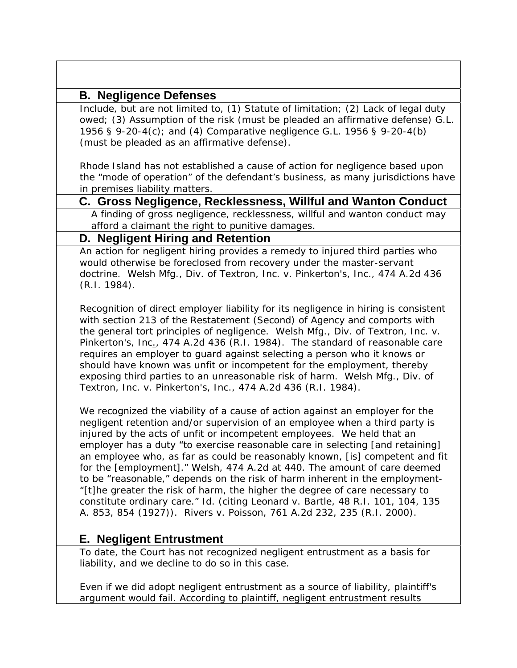# **B. Negligence Defenses**

Include, but are not limited to, (1) Statute of limitation; (2) Lack of legal duty owed; (3) Assumption of the risk (must be pleaded an affirmative defense) G.L. 1956 § 9-20-4(c); and (4) Comparative negligence G.L. 1956 § 9-20-4(b) (must be pleaded as an affirmative defense).

Rhode Island has not established a cause of action for negligence based upon the "mode of operation" of the defendant's business, as many jurisdictions have in premises liability matters.

# **C. Gross Negligence, Recklessness, Willful and Wanton Conduct**

A finding of gross negligence, recklessness, willful and wanton conduct may afford a claimant the right to punitive damages.

# **D. Negligent Hiring and Retention**

An action for negligent hiring provides a remedy to injured third parties who would otherwise be foreclosed from recovery under the master-servant doctrine*. Welsh Mfg., Div. of Textron, Inc. v. Pinkerton's, Inc.*, 474 A.2d 436 (R.I. 1984).

Recognition of direct employer liability for its negligence in hiring is consistent with section 213 of the Restatement (Second) of Agency and comports with the general tort principles of negligence. *Welsh Mfg., Div. of Textron, Inc. v. Pinkerton's, Inc*., 474 A.2d 436 (R.I. 1984). The standard of reasonable care requires an employer to guard against selecting a person who it knows or should have known was unfit or incompetent for the employment, thereby exposing third parties to an unreasonable risk of harm. *Welsh Mfg., Div. of Textron, Inc. v. Pinkerton's, Inc.*, 474 A.2d 436 (R.I. 1984).

We recognized the viability of a cause of action against an employer for the negligent retention and/or supervision of an employee when a third party is injured by the acts of unfit or incompetent employees. We held that an employer has a duty "to exercise reasonable care in selecting [and retaining] an employee who, as far as could be reasonably known, [is] competent and fit for the [employment]." *Welsh,* 474 A.2d at 440. The amount of care deemed to be "reasonable," depends on the risk of harm inherent in the employment- "[t]he greater the risk of harm, the higher the degree of care necessary to constitute ordinary care." *Id.* (citing *Leonard v. Bartle,* 48 R.I. 101, 104, 135 A. 853, 854 (1927)). *Rivers v. Poisson*, 761 A.2d 232, 235 (R.I. 2000).

# **E. Negligent Entrustment**

To date, the Court has not recognized negligent entrustment as a basis for liability, and we decline to do so in this case.

Even if we did adopt negligent entrustment as a source of liability, plaintiff's argument would fail. According to plaintiff, negligent entrustment results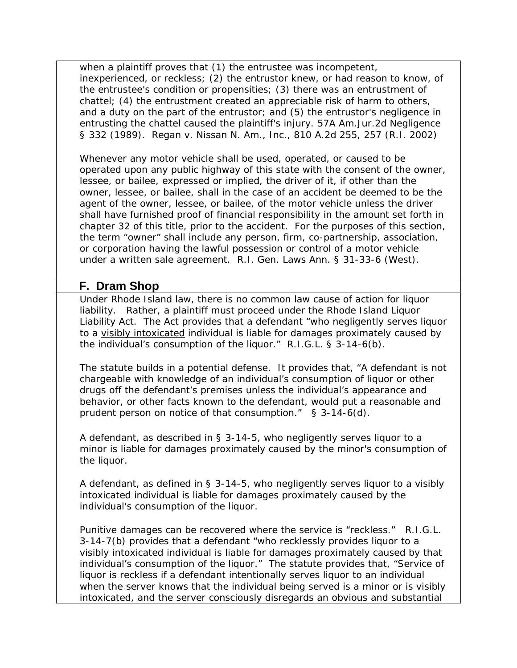when a plaintiff proves that (1) the entrustee was incompetent, inexperienced, or reckless; (2) the entrustor knew, or had reason to know, of the entrustee's condition or propensities; (3) there was an entrustment of chattel; (4) the entrustment created an appreciable risk of harm to others, and a duty on the part of the entrustor; and (5) the entrustor's negligence in entrusting the chattel caused the plaintiff's injury. 57A Am.Jur.2d *Negligence* § 332 (1989). *Regan v. Nissan N. Am., Inc.*, 810 A.2d 255, 257 (R.I. 2002)

Whenever any motor vehicle shall be used, operated, or caused to be operated upon any public highway of this state with the consent of the owner, lessee, or bailee, expressed or implied, the driver of it, if other than the owner, lessee, or bailee, shall in the case of an accident be deemed to be the agent of the owner, lessee, or bailee, of the motor vehicle unless the driver shall have furnished proof of financial responsibility in the amount set forth in chapter 32 of this title, prior to the accident. For the purposes of this section, the term "owner" shall include any person, firm, co-partnership, association, or corporation having the lawful possession or control of a motor vehicle under a written sale agreement. R.I. Gen. Laws Ann. § 31-33-6 (West).

### **F. Dram Shop**

Under Rhode Island law, there is no common law cause of action for liquor liability. Rather, a plaintiff must proceed under the Rhode Island Liquor Liability Act. The Act provides that a defendant "who negligently serves liquor to a visibly intoxicated individual is liable for damages proximately caused by the individual's consumption of the liquor." R.I.G.L. § 3-14-6(b).

The statute builds in a potential defense. It provides that, "A defendant is not chargeable with knowledge of an individual's consumption of liquor or other drugs off the defendant's premises unless the individual's appearance and behavior, or other facts known to the defendant, would put a reasonable and prudent person on notice of that consumption." § 3-14-6(d).

A defendant, as described in § 3-14-5, who negligently serves liquor to a minor is liable for damages proximately caused by the minor's consumption of the liquor.

A defendant, as defined in § 3-14-5, who negligently serves liquor to a visibly intoxicated individual is liable for damages proximately caused by the individual's consumption of the liquor.

Punitive damages can be recovered where the service is "reckless." R.I.G.L. 3-14-7(b) provides that a defendant "who recklessly provides liquor to a visibly intoxicated individual is liable for damages proximately caused by that individual's consumption of the liquor." The statute provides that, "Service of liquor is reckless if a defendant intentionally serves liquor to an individual when the server knows that the individual being served is a minor or is visibly intoxicated, and the server consciously disregards an obvious and substantial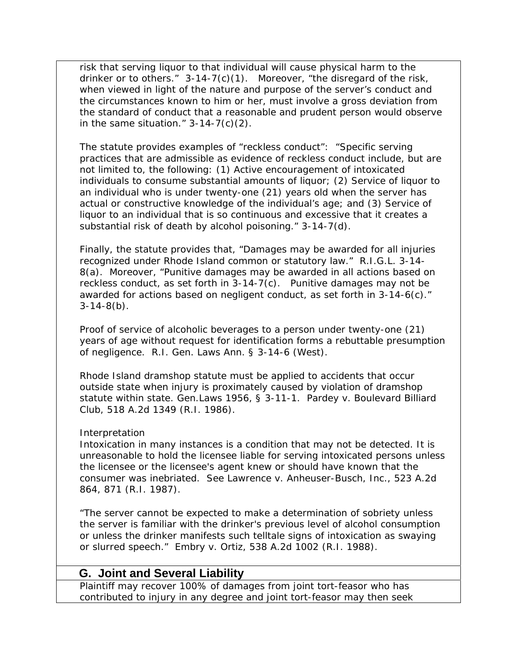risk that serving liquor to that individual will cause physical harm to the drinker or to others." 3-14-7(c)(1). Moreover, "the disregard of the risk, when viewed in light of the nature and purpose of the server's conduct and the circumstances known to him or her, must involve a gross deviation from the standard of conduct that a reasonable and prudent person would observe in the same situation."  $3-14-7(c)(2)$ .

The statute provides examples of "reckless conduct": "Specific serving practices that are admissible as evidence of reckless conduct include, but are not limited to, the following: (1) Active encouragement of intoxicated individuals to consume substantial amounts of liquor; (2) Service of liquor to an individual who is under twenty-one (21) years old when the server has actual or constructive knowledge of the individual's age; and (3) Service of liquor to an individual that is so continuous and excessive that it creates a substantial risk of death by alcohol poisoning." 3-14-7(d).

Finally, the statute provides that, "Damages may be awarded for all injuries recognized under Rhode Island common or statutory law." R.I.G.L. 3-14- 8(a). Moreover, "Punitive damages may be awarded in all actions based on reckless conduct, as set forth in 3-14-7(c). Punitive damages may not be awarded for actions based on negligent conduct, as set forth in 3-14-6(c)."  $3-14-8(b)$ .

Proof of service of alcoholic beverages to a person under twenty-one (21) years of age without request for identification forms a rebuttable presumption of negligence. R.I. Gen. Laws Ann. § 3-14-6 (West).

Rhode Island dramshop statute must be applied to accidents that occur outside state when injury is proximately caused by violation of dramshop statute within state. Gen.Laws 1956, § 3-11-1. *Pardey v. Boulevard Billiard Club*, 518 A.2d 1349 (R.I. 1986).

#### Interpretation

Intoxication in many instances is a condition that may not be detected. It is unreasonable to hold the licensee liable for serving intoxicated persons unless the licensee or the licensee's agent knew or should have known that the consumer was inebriated. See Lawrence v. Anheuser-Busch, Inc., 523 A.2d 864, 871 (R.I. 1987).

"The server cannot be expected to make a determination of sobriety unless the server is familiar with the drinker's previous level of alcohol consumption or unless the drinker manifests such telltale signs of intoxication as swaying or slurred speech." Embry v. Ortiz, 538 A.2d 1002 (R.I. 1988).

# **G. Joint and Several Liability**

Plaintiff may recover 100% of damages from joint tort-feasor who has contributed to injury in any degree and joint tort-feasor may then seek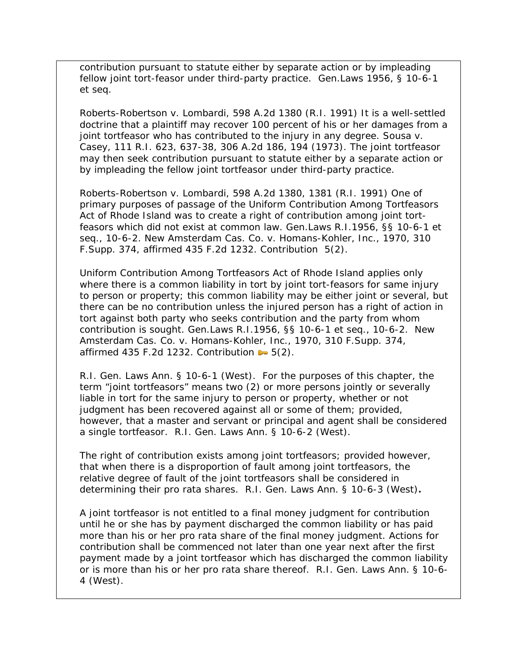contribution pursuant to statute either by separate action or by impleading fellow joint tort-feasor under third-party practice. Gen.Laws 1956, § 10-6-1 *et seq*.

*Roberts-Robertson v. Lombardi*, 598 A.2d 1380 (R.I. 1991) It is a well-settled doctrine that a plaintiff may recover 100 percent of his or her damages from a joint tortfeasor who has contributed to the injury in any degree. *Sousa v. Casey,* 111 R.I. 623, 637-38, 306 A.2d 186, 194 (1973). The joint tortfeasor may then seek contribution pursuant to statute either by a separate action or by impleading the fellow joint tortfeasor under third-party practice.

*Roberts-Robertson v. Lombardi*, 598 A.2d 1380, 1381 (R.I. 1991) One of primary purposes of passage of the Uniform Contribution Among Tortfeasors Act of Rhode Island was to create a right of contribution among joint tortfeasors which did not exist at common law. Gen.Laws R.I.1956, §§ 10-6-1 *et seq*., 10-6-2. *New Amsterdam Cas. Co. v. Homans-Kohler, Inc.*, 1970, 310 F.Supp. 374, affirmed 435 F.2d 1232. Contribution 5(2).

Uniform Contribution Among Tortfeasors Act of Rhode Island applies only where there is a common liability in tort by joint tort-feasors for same injury to person or property; this common liability may be either joint or several, but there can be no contribution unless the injured person has a right of action in tort against both party who seeks contribution and the party from whom contribution is sought. Gen.Laws R.I.1956, §§ 10-6-1 et seq., 10-6-2. *New Amsterdam Cas. Co. v. Homans-Kohler, Inc.*, 1970, 310 F.Supp. 374, affirmed 435 F.2d 1232. Contribution  $\blacktriangleright$  5(2).

R.I. Gen. Laws Ann. § 10-6-1 (West). For the purposes of this chapter, the term "joint tortfeasors" means two (2) or more persons jointly or severally liable in tort for the same injury to person or property, whether or not judgment has been recovered against all or some of them; provided, however, that a master and servant or principal and agent shall be considered a single tortfeasor. R.I. Gen. Laws Ann. § 10-6-2 (West).

The right of contribution exists among joint tortfeasors; provided however, that when there is a disproportion of fault among joint tortfeasors, the relative degree of fault of the joint tortfeasors shall be considered in determining their pro rata shares. R.I. Gen. Laws Ann. § 10-6-3 (West)*.*

A joint tortfeasor is not entitled to a final money judgment for contribution until he or she has by payment discharged the common liability or has paid more than his or her pro rata share of the final money judgment. Actions for contribution shall be commenced not later than one year next after the first payment made by a joint tortfeasor which has discharged the common liability or is more than his or her pro rata share thereof. R.I. Gen. Laws Ann. § 10-6- 4 (West).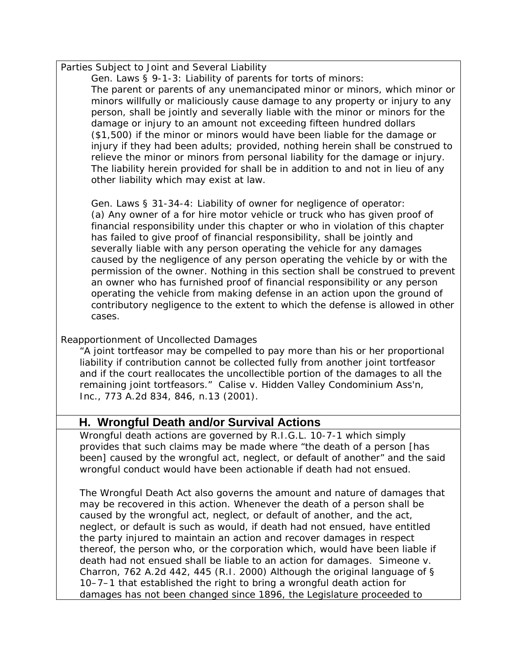Parties Subject to Joint and Several Liability

Gen. Laws § 9-1-3: Liability of parents for torts of minors: The parent or parents of any unemancipated minor or minors, which minor or minors willfully or maliciously cause damage to any property or injury to any person, shall be jointly and severally liable with the minor or minors for the damage or injury to an amount not exceeding fifteen hundred dollars (\$1,500) if the minor or minors would have been liable for the damage or injury if they had been adults; provided, nothing herein shall be construed to relieve the minor or minors from personal liability for the damage or injury. The liability herein provided for shall be in addition to and not in lieu of any other liability which may exist at law.

Gen. Laws § 31-34-4: Liability of owner for negligence of operator: (a) Any owner of a for hire motor vehicle or truck who has given proof of financial responsibility under this chapter or who in violation of this chapter has failed to give proof of financial responsibility, shall be jointly and severally liable with any person operating the vehicle for any damages caused by the negligence of any person operating the vehicle by or with the permission of the owner. Nothing in this section shall be construed to prevent an owner who has furnished proof of financial responsibility or any person operating the vehicle from making defense in an action upon the ground of contributory negligence to the extent to which the defense is allowed in other cases.

#### Reapportionment of Uncollected Damages

"A joint tortfeasor may be compelled to pay more than his or her proportional liability if contribution cannot be collected fully from another joint tortfeasor and if the court reallocates the uncollectible portion of the damages to all the remaining joint tortfeasors." Calise v. Hidden Valley Condominium Ass'n, Inc., 773 A.2d 834, 846, n.13 (2001).

# **H. Wrongful Death and/or Survival Actions**

Wrongful death actions are governed by R.I.G.L. 10-7-1 which simply provides that such claims may be made where "the death of a person [has been] caused by the wrongful act, neglect, or default of another" and the said wrongful conduct would have been actionable if death had not ensued.

The Wrongful Death Act also governs the amount and nature of damages that may be recovered in this action. Whenever the death of a person shall be caused by the wrongful act, neglect, or default of another, and the act, neglect, or default is such as would, if death had not ensued, have entitled the party injured to maintain an action and recover damages in respect thereof, the person who, or the corporation which, would have been liable if death had not ensued shall be liable to an action for damages. *Simeone v. Charron*, 762 A.2d 442, 445 (R.I. 2000) Although the original language of § 10–7–1 that established the right to bring a wrongful death action for damages has not been changed since 1896, the Legislature proceeded to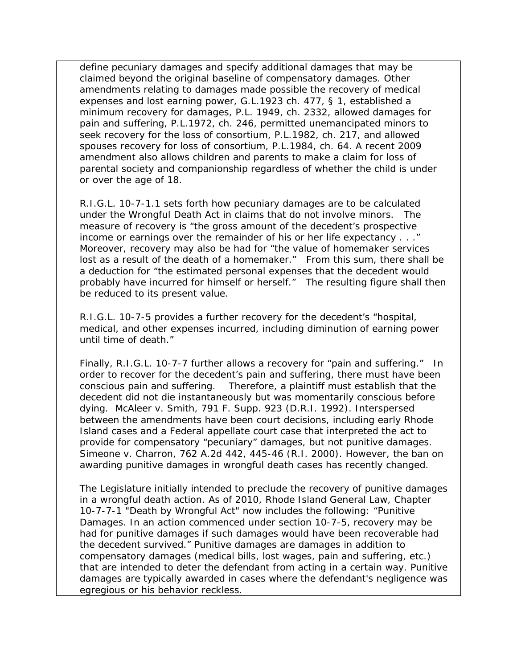define pecuniary damages and specify additional damages that may be claimed beyond the original baseline of compensatory damages. Other amendments relating to damages made possible the recovery of medical expenses and lost earning power, G.L.1923 ch. 477, § 1, established a minimum recovery for damages, P.L. 1949, ch. 2332, allowed damages for pain and suffering, P.L.1972, ch. 246, permitted unemancipated minors to seek recovery for the loss of consortium, P.L.1982, ch. 217, and allowed spouses recovery for loss of consortium, P.L.1984, ch. 64. A recent 2009 amendment also allows children and parents to make a claim for loss of parental society and companionship regardless of whether the child is under or over the age of 18.

R.I.G.L. 10-7-1.1 sets forth how pecuniary damages are to be calculated under the Wrongful Death Act in claims that do not involve minors. The measure of recovery is "the gross amount of the decedent's prospective income or earnings over the remainder of his or her life expectancy . . ." Moreover, recovery may also be had for "the value of homemaker services lost as a result of the death of a homemaker." From this sum, there shall be a deduction for "the estimated personal expenses that the decedent would probably have incurred for himself or herself." The resulting figure shall then be reduced to its present value.

R.I.G.L. 10-7-5 provides a further recovery for the decedent's "hospital, medical, and other expenses incurred, including diminution of earning power until time of death."

Finally, R.I.G.L. 10-7-7 further allows a recovery for "pain and suffering." In order to recover for the decedent's pain and suffering, there must have been conscious pain and suffering. Therefore, a plaintiff must establish that the decedent did not die instantaneously but was momentarily conscious before dying. McAleer v. Smith, 791 F. Supp. 923 (D.R.I. 1992). Interspersed between the amendments have been court decisions, including early Rhode Island cases and a Federal appellate court case that interpreted the act to provide for compensatory "pecuniary" damages, but not punitive damages. *Simeone v. Charron*, 762 A.2d 442, 445-46 (R.I. 2000). However, the ban on awarding punitive damages in wrongful death cases has recently changed.

The Legislature initially intended to preclude the recovery of punitive damages in a wrongful death action. As of 2010, Rhode Island General Law, Chapter 10-7-7-1 "Death by Wrongful Act" now includes the following: "Punitive Damages. In an action commenced under section 10-7-5, recovery may be had for punitive damages if such damages would have been recoverable had the decedent survived." Punitive damages are damages in addition to compensatory damages (medical bills, lost wages, pain and suffering, etc.) that are intended to deter the defendant from acting in a certain way. Punitive damages are typically awarded in cases where the defendant's negligence was egregious or his behavior reckless.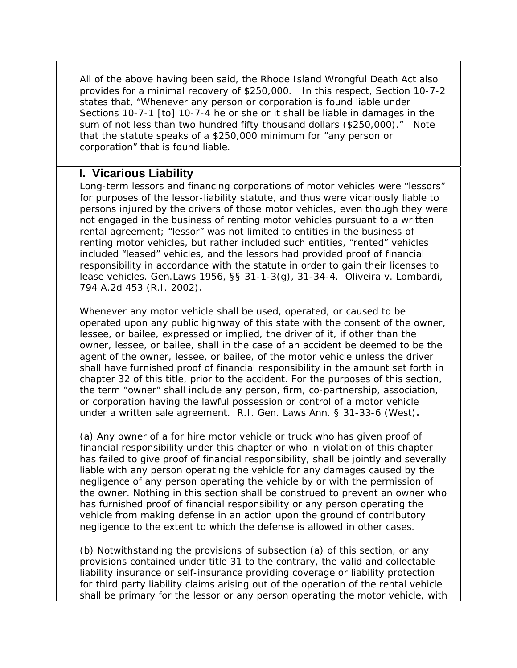All of the above having been said, the Rhode Island Wrongful Death Act also provides for a minimal recovery of \$250,000. In this respect, Section 10-7-2 states that, "Whenever any person or corporation is found liable under Sections 10-7-1 [to] 10-7-4 he or she or it shall be liable in damages in the sum of not less than two hundred fifty thousand dollars (\$250,000)." Note that the statute speaks of a \$250,000 minimum for "any person or corporation" that is found liable.

### **I. Vicarious Liability**

Long-term lessors and financing corporations of motor vehicles were "lessors" for purposes of the lessor-liability statute, and thus were vicariously liable to persons injured by the drivers of those motor vehicles, even though they were not engaged in the business of renting motor vehicles pursuant to a written rental agreement; "lessor" was not limited to entities in the business of renting motor vehicles, but rather included such entities, "rented" vehicles included "leased" vehicles, and the lessors had provided proof of financial responsibility in accordance with the statute in order to gain their licenses to lease vehicles. Gen.Laws 1956, §§ 31-1-3(g), 31-34-4. *Oliveira v. Lombardi*, 794 A.2d 453 (R.I. 2002)**.**

Whenever any motor vehicle shall be used, operated, or caused to be operated upon any public highway of this state with the consent of the owner, lessee, or bailee, expressed or implied, the driver of it, if other than the owner, lessee, or bailee, shall in the case of an accident be deemed to be the agent of the owner, lessee, or bailee, of the motor vehicle unless the driver shall have furnished proof of financial responsibility in the amount set forth in chapter 32 of this title, prior to the accident. For the purposes of this section, the term "owner" shall include any person, firm, co-partnership, association, or corporation having the lawful possession or control of a motor vehicle under a written sale agreement. R.I. Gen. Laws Ann. § 31-33-6 (West)**.**

(a) Any owner of a for hire motor vehicle or truck who has given proof of financial responsibility under this chapter or who in violation of this chapter has failed to give proof of financial responsibility, shall be jointly and severally liable with any person operating the vehicle for any damages caused by the negligence of any person operating the vehicle by or with the permission of the owner. Nothing in this section shall be construed to prevent an owner who has furnished proof of financial responsibility or any person operating the vehicle from making defense in an action upon the ground of contributory negligence to the extent to which the defense is allowed in other cases.

(b) Notwithstanding the provisions of subsection (a) of this section, or any provisions contained under title 31 to the contrary, the valid and collectable liability insurance or self-insurance providing coverage or liability protection for third party liability claims arising out of the operation of the rental vehicle shall be primary for the lessor or any person operating the motor vehicle, with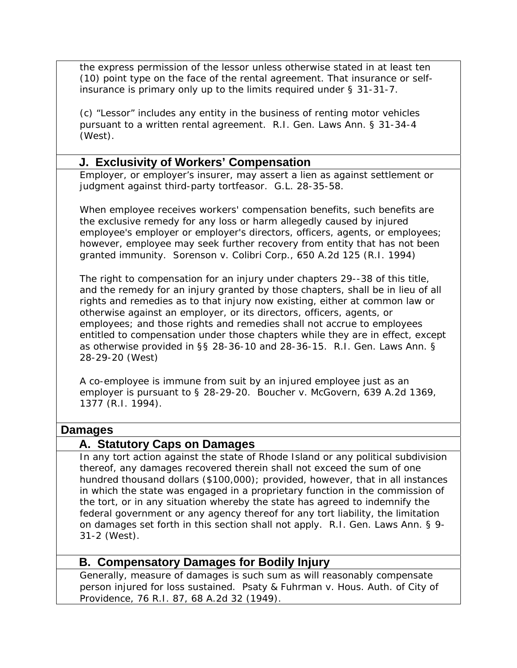the express permission of the lessor unless otherwise stated in at least ten (10) point type on the face of the rental agreement. That insurance or selfinsurance is primary only up to the limits required under § 31-31-7.

(c) "Lessor" includes any entity in the business of renting motor vehicles pursuant to a written rental agreement. R.I. Gen. Laws Ann. § 31-34-4 (West).

### **J. Exclusivity of Workers' Compensation**

Employer, or employer's insurer, may assert a lien as against settlement or judgment against third-party tortfeasor. G.L. 28-35-58.

When employee receives workers' compensation benefits, such benefits are the exclusive remedy for any loss or harm allegedly caused by injured employee's employer or employer's directors, officers, agents, or employees; however, employee may seek further recovery from entity that has not been granted immunity. *Sorenson v. Colibri Corp.,* 650 A.2d 125 (R.I. 1994)

The right to compensation for an injury under chapters 29--38 of this title, and the remedy for an injury granted by those chapters, shall be in lieu of all rights and remedies as to that injury now existing, either at common law or otherwise against an employer, or its directors, officers, agents, or employees; and those rights and remedies shall not accrue to employees entitled to compensation under those chapters while they are in effect, except as otherwise provided in §§ 28-36-10 and 28-36-15. R.I. Gen. Laws Ann. § 28-29-20 (West)

A co-employee is immune from suit by an injured employee just as an employer is pursuant to § 28-29-20. *Boucher v. McGovern*, 639 A.2d 1369, 1377 (R.I. 1994).

### **Damages**

### **A. Statutory Caps on Damages**

In any tort action against the state of Rhode Island or any political subdivision thereof, any damages recovered therein shall not exceed the sum of one hundred thousand dollars (\$100,000); provided, however, that in all instances in which the state was engaged in a proprietary function in the commission of the tort, or in any situation whereby the state has agreed to indemnify the federal government or any agency thereof for any tort liability, the limitation on damages set forth in this section shall not apply. R.I. Gen. Laws Ann. § 9- 31-2 (West).

### **B. Compensatory Damages for Bodily Injury**

Generally, measure of damages is such sum as will reasonably compensate person injured for loss sustained*. Psaty & Fuhrman v. Hous. Auth. of City of Providence*, 76 R.I. 87, 68 A.2d 32 (1949).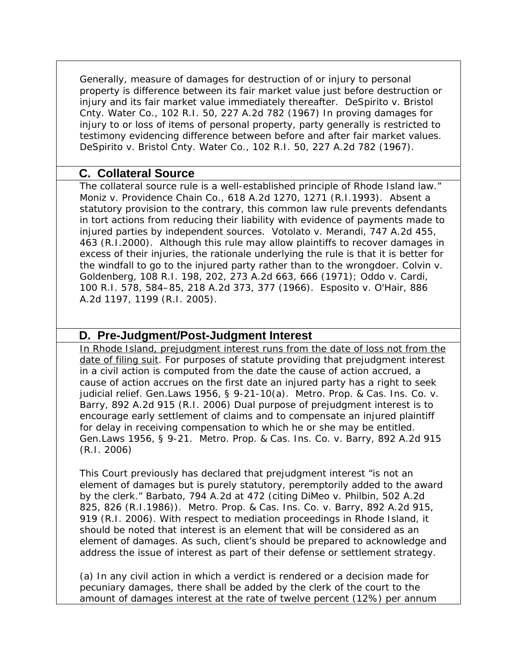Generally, measure of damages for destruction of or injury to personal property is difference between its fair market value just before destruction or injury and its fair market value immediately thereafter. *DeSpirito v. Bristol Cnty. Water Co.,* 102 R.I. 50, 227 A.2d 782 (1967) In proving damages for injury to or loss of items of personal property, party generally is restricted to testimony evidencing difference between before and after fair market values. *DeSpirito v. Bristol Cnty. Water Co.,* 102 R.I. 50, 227 A.2d 782 (1967).

# **C. Collateral Source**

The collateral source rule is a well-established principle of Rhode Island law." *Moniz v. Providence Chain Co.,* 618 A.2d 1270, 1271 (R.I.1993). Absent a statutory provision to the contrary, this common law rule prevents defendants in tort actions from reducing their liability with evidence of payments made to injured parties by independent sources. *Votolato v. Merandi,* 747 A.2d 455, 463 (R.I.2000). Although this rule may allow plaintiffs to recover damages in excess of their injuries, the rationale underlying the rule is that it is better for the windfall to go to the injured party rather than to the wrongdoer. *Colvin v. Goldenberg,* 108 R.I. 198, 202, 273 A.2d 663, 666 (1971); *Oddo v. Cardi,* 100 R.I. 578, 584–85, 218 A.2d 373, 377 (1966). *Esposito v. O'Hair*, 886 A.2d 1197, 1199 (R.I. 2005).

# **D. Pre-Judgment/Post-Judgment Interest**

In Rhode Island, prejudgment interest runs from the date of loss not from the date of filing suit. For purposes of statute providing that prejudgment interest in a civil action is computed from the date the cause of action accrued, a cause of action accrues on the first date an injured party has a right to seek judicial relief. Gen.Laws 1956, § 9-21-10(a). *Metro. Prop. & Cas. Ins. Co. v. Barry*, 892 A.2d 915 (R.I. 2006) Dual purpose of prejudgment interest is to encourage early settlement of claims and to compensate an injured plaintiff for delay in receiving compensation to which he or she may be entitled. Gen.Laws 1956, § 9-21. *Metro. Prop. & Cas. Ins. Co. v. Barry*, 892 A.2d 915 (R.I. 2006)

This Court previously has declared that prejudgment interest "is not an element of damages but is purely statutory, peremptorily added to the award by the clerk." *Barbato,* 794 A.2d at 472 (citing *DiMeo v. Philbin,* 502 A.2d 825, 826 (R.I.1986)). *Metro. Prop. & Cas. Ins. Co. v. Barry*, 892 A.2d 915, 919 (R.I. 2006). With respect to mediation proceedings in Rhode Island, it should be noted that interest is an element that will be considered as an element of damages. As such, client's should be prepared to acknowledge and address the issue of interest as part of their defense or settlement strategy.

(a) In any civil action in which a verdict is rendered or a decision made for pecuniary damages, there shall be added by the clerk of the court to the amount of damages interest at the rate of twelve percent (12%) per annum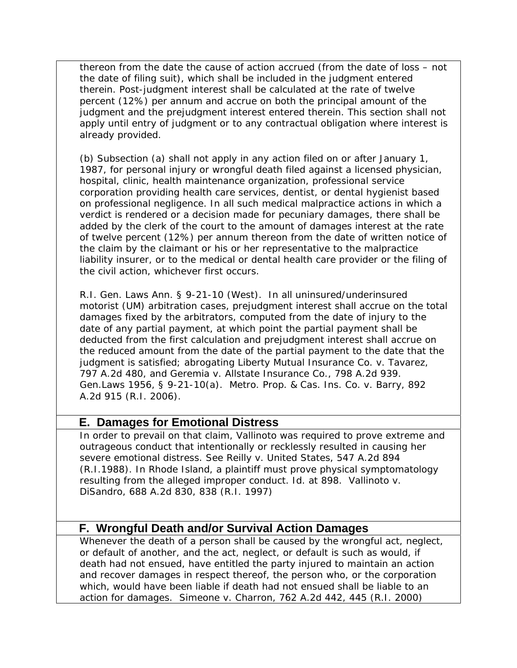thereon from the date the cause of action accrued (from the date of loss – not the date of filing suit), which shall be included in the judgment entered therein. Post-judgment interest shall be calculated at the rate of twelve percent (12%) per annum and accrue on both the principal amount of the judgment and the prejudgment interest entered therein. This section shall not apply until entry of judgment or to any contractual obligation where interest is already provided.

(b) Subsection (a) shall not apply in any action filed on or after January 1, 1987, for personal injury or wrongful death filed against a licensed physician, hospital, clinic, health maintenance organization, professional service corporation providing health care services, dentist, or dental hygienist based on professional negligence. In all such medical malpractice actions in which a verdict is rendered or a decision made for pecuniary damages, there shall be added by the clerk of the court to the amount of damages interest at the rate of twelve percent (12%) per annum thereon from the date of written notice of the claim by the claimant or his or her representative to the malpractice liability insurer, or to the medical or dental health care provider or the filing of the civil action, whichever first occurs.

R.I. Gen. Laws Ann. § 9-21-10 (West). In all uninsured/underinsured motorist (UM) arbitration cases, prejudgment interest shall accrue on the total damages fixed by the arbitrators, computed from the date of injury to the date of any partial payment, at which point the partial payment shall be deducted from the first calculation and prejudgment interest shall accrue on the reduced amount from the date of the partial payment to the date that the judgment is satisfied; abrogating *Liberty Mutual Insurance Co. v. Tavarez*, 797 A.2d 480, and *Geremia v. Allstate Insurance Co.*, 798 A.2d 939. Gen.Laws 1956, § 9-21-10(a). *Metro. Prop. & Cas. Ins. Co. v. Barry*, 892 A.2d 915 (R.I. 2006).

### **E. Damages for Emotional Distress**

In order to prevail on that claim, Vallinoto was required to prove extreme and outrageous conduct that intentionally or recklessly resulted in causing her severe emotional distress. *See Reilly v. United States,* 547 A.2d 894 (R.I.1988). In Rhode Island, a plaintiff must prove physical symptomatology resulting from the alleged improper conduct. *Id.* at 898. *Vallinoto v. DiSandro*, 688 A.2d 830, 838 (R.I. 1997)

# **F. Wrongful Death and/or Survival Action Damages**

Whenever the death of a person shall be caused by the wrongful act, neglect, or default of another, and the act, neglect, or default is such as would, if death had not ensued, have entitled the party injured to maintain an action and recover damages in respect thereof, the person who, or the corporation which, would have been liable if death had not ensued shall be liable to an action for damages. *Simeone v. Charron*, 762 A.2d 442, 445 (R.I. 2000)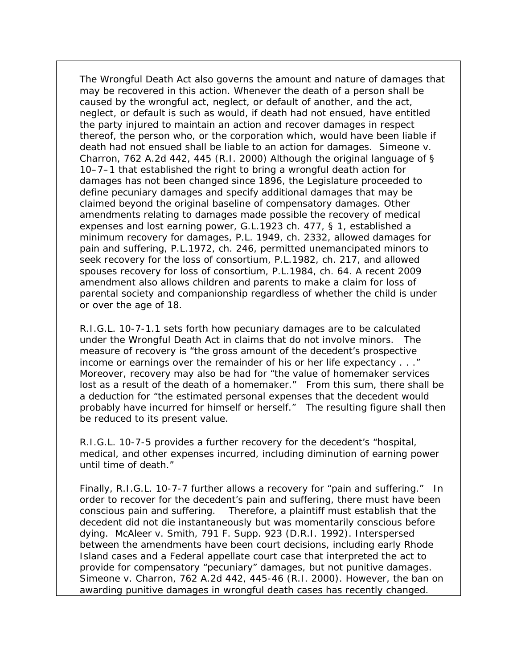The Wrongful Death Act also governs the amount and nature of damages that may be recovered in this action. Whenever the death of a person shall be caused by the wrongful act, neglect, or default of another, and the act, neglect, or default is such as would, if death had not ensued, have entitled the party injured to maintain an action and recover damages in respect thereof, the person who, or the corporation which, would have been liable if death had not ensued shall be liable to an action for damages. Simeone v. Charron, 762 A.2d 442, 445 (R.I. 2000) Although the original language of § 10–7–1 that established the right to bring a wrongful death action for damages has not been changed since 1896, the Legislature proceeded to define pecuniary damages and specify additional damages that may be claimed beyond the original baseline of compensatory damages. Other amendments relating to damages made possible the recovery of medical expenses and lost earning power, G.L.1923 ch. 477, § 1, established a minimum recovery for damages, P.L. 1949, ch. 2332, allowed damages for pain and suffering, P.L.1972, ch. 246, permitted unemancipated minors to seek recovery for the loss of consortium, P.L.1982, ch. 217, and allowed spouses recovery for loss of consortium, P.L.1984, ch. 64. A recent 2009 amendment also allows children and parents to make a claim for loss of parental society and companionship regardless of whether the child is under or over the age of 18.

R.I.G.L. 10-7-1.1 sets forth how pecuniary damages are to be calculated under the Wrongful Death Act in claims that do not involve minors. The measure of recovery is "the gross amount of the decedent's prospective income or earnings over the remainder of his or her life expectancy . . ." Moreover, recovery may also be had for "the value of homemaker services lost as a result of the death of a homemaker." From this sum, there shall be a deduction for "the estimated personal expenses that the decedent would probably have incurred for himself or herself." The resulting figure shall then be reduced to its present value.

R.I.G.L. 10-7-5 provides a further recovery for the decedent's "hospital, medical, and other expenses incurred, including diminution of earning power until time of death."

Finally, R.I.G.L. 10-7-7 further allows a recovery for "pain and suffering." In order to recover for the decedent's pain and suffering, there must have been conscious pain and suffering. Therefore, a plaintiff must establish that the decedent did not die instantaneously but was momentarily conscious before dying. McAleer v. Smith, 791 F. Supp. 923 (D.R.I. 1992). Interspersed between the amendments have been court decisions, including early Rhode Island cases and a Federal appellate court case that interpreted the act to provide for compensatory "pecuniary" damages, but not punitive damages. Simeone v. Charron, 762 A.2d 442, 445-46 (R.I. 2000). However, the ban on awarding punitive damages in wrongful death cases has recently changed.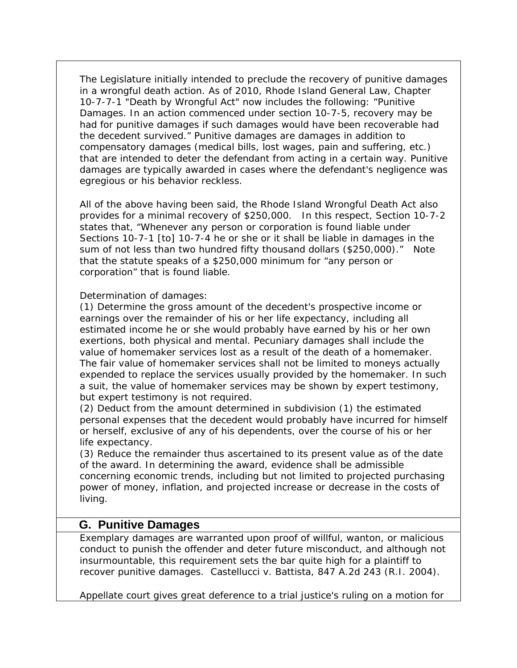The Legislature initially intended to preclude the recovery of punitive damages in a wrongful death action. As of 2010, Rhode Island General Law, Chapter 10-7-7-1 "Death by Wrongful Act" now includes the following: "Punitive Damages. In an action commenced under section 10-7-5, recovery may be had for punitive damages if such damages would have been recoverable had the decedent survived." Punitive damages are damages in addition to compensatory damages (medical bills, lost wages, pain and suffering, etc.) that are intended to deter the defendant from acting in a certain way. Punitive damages are typically awarded in cases where the defendant's negligence was egregious or his behavior reckless.

All of the above having been said, the Rhode Island Wrongful Death Act also provides for a minimal recovery of \$250,000. In this respect, Section 10-7-2 states that, "Whenever any person or corporation is found liable under Sections 10-7-1 [to] 10-7-4 he or she or it shall be liable in damages in the sum of not less than two hundred fifty thousand dollars (\$250,000)." Note that the statute speaks of a \$250,000 minimum for "any person or corporation" that is found liable.

Determination of damages:

(1) Determine the gross amount of the decedent's prospective income or earnings over the remainder of his or her life expectancy, including all estimated income he or she would probably have earned by his or her own exertions, both physical and mental. Pecuniary damages shall include the value of homemaker services lost as a result of the death of a homemaker. The fair value of homemaker services shall not be limited to moneys actually expended to replace the services usually provided by the homemaker. In such a suit, the value of homemaker services may be shown by expert testimony, but expert testimony is not required.

(2) Deduct from the amount determined in subdivision (1) the estimated personal expenses that the decedent would probably have incurred for himself or herself, exclusive of any of his dependents, over the course of his or her life expectancy.

(3) Reduce the remainder thus ascertained to its present value as of the date of the award. In determining the award, evidence shall be admissible concerning economic trends, including but not limited to projected purchasing power of money, inflation, and projected increase or decrease in the costs of living.

# **G. Punitive Damages**

Exemplary damages are warranted upon proof of willful, wanton, or malicious conduct to punish the offender and deter future misconduct, and although not insurmountable, this requirement sets the bar quite high for a plaintiff to recover punitive damages. *Castellucci v. Battista*, 847 A.2d 243 (R.I. 2004).

Appellate court gives great deference to a trial justice's ruling on a motion for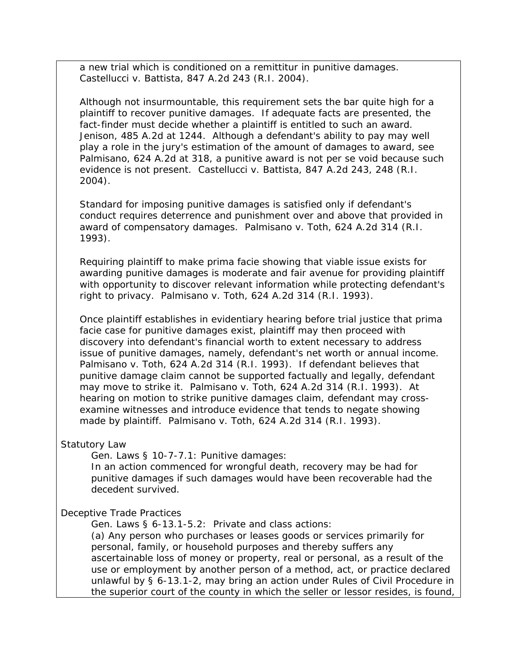a new trial which is conditioned on a remittitur in punitive damages. *Castellucci v. Battista*, 847 A.2d 243 (R.I. 2004).

Although not insurmountable, this requirement sets the bar quite high for a plaintiff to recover punitive damages. If adequate facts are presented, the fact-finder must decide whether a plaintiff is entitled to such an award. *Jenison,* 485 A.2d at 1244. Although a defendant's ability to pay may well play a role in the jury's estimation of the amount of damages to award, *see Palmisano,* 624 A.2d at 318, a punitive award is not *per se* void because such evidence is not present*. Castellucci v. Battista*, 847 A.2d 243, 248 (R.I. 2004).

Standard for imposing punitive damages is satisfied only if defendant's conduct requires deterrence and punishment over and above that provided in award of compensatory damages. *Palmisano v. Toth*, 624 A.2d 314 (R.I. 1993).

Requiring plaintiff to make prima facie showing that viable issue exists for awarding punitive damages is moderate and fair avenue for providing plaintiff with opportunity to discover relevant information while protecting defendant's right to privacy. *Palmisano v. Toth*, 624 A.2d 314 (R.I. 1993).

Once plaintiff establishes in evidentiary hearing before trial justice that prima facie case for punitive damages exist, plaintiff may then proceed with discovery into defendant's financial worth to extent necessary to address issue of punitive damages, namely, defendant's net worth or annual income. *Palmisano v. Toth*, 624 A.2d 314 (R.I. 1993). If defendant believes that punitive damage claim cannot be supported factually and legally, defendant may move to strike it. *Palmisano v. Toth*, 624 A.2d 314 (R.I. 1993). At hearing on motion to strike punitive damages claim, defendant may crossexamine witnesses and introduce evidence that tends to negate showing made by plaintiff. *Palmisano v. Toth*, 624 A.2d 314 (R.I. 1993).

#### Statutory Law

Gen. Laws § 10-7-7.1: Punitive damages:

In an action commenced for wrongful death, recovery may be had for punitive damages if such damages would have been recoverable had the decedent survived.

#### Deceptive Trade Practices

Gen. Laws § 6-13.1-5.2: Private and class actions:

(a) Any person who purchases or leases goods or services primarily for personal, family, or household purposes and thereby suffers any ascertainable loss of money or property, real or personal, as a result of the use or employment by another person of a method, act, or practice declared unlawful by § 6-13.1-2, may bring an action under Rules of Civil Procedure in the superior court of the county in which the seller or lessor resides, is found,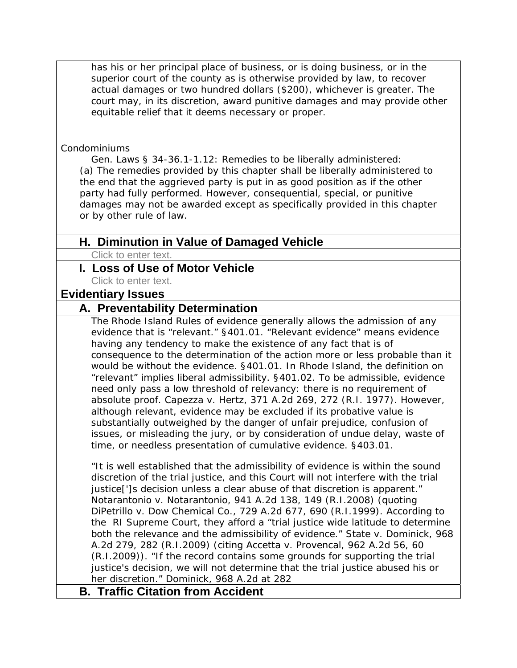has his or her principal place of business, or is doing business, or in the superior court of the county as is otherwise provided by law, to recover actual damages or two hundred dollars (\$200), whichever is greater. The court may, in its discretion, award punitive damages and may provide other equitable relief that it deems necessary or proper.

#### Condominiums

Gen. Laws § 34-36.1-1.12: Remedies to be liberally administered: (a) The remedies provided by this chapter shall be liberally administered to the end that the aggrieved party is put in as good position as if the other party had fully performed. However, consequential, special, or punitive damages may not be awarded except as specifically provided in this chapter or by other rule of law.

# **H. Diminution in Value of Damaged Vehicle**

Click to enter text.

### **I. Loss of Use of Motor Vehicle**

Click to enter text.

#### **Evidentiary Issues**

### **A. Preventability Determination**

The Rhode Island Rules of evidence generally allows the admission of any evidence that is "relevant." §401.01. "Relevant evidence" means evidence having any tendency to make the existence of any fact that is of consequence to the determination of the action more or less probable than it would be without the evidence. §401.01. In Rhode Island, the definition on "relevant" implies liberal admissibility. §401.02. To be admissible, evidence need only pass a low threshold of relevancy: there is no requirement of absolute proof. *Capezza v. Hertz*, 371 A.2d 269, 272 (R.I. 1977). However, although relevant, evidence may be excluded if its probative value is substantially outweighed by the danger of unfair prejudice, confusion of issues, or misleading the jury, or by consideration of undue delay, waste of time, or needless presentation of cumulative evidence. §403.01.

"It is well established that the admissibility of evidence is within the sound discretion of the trial justice, and this Court will not interfere with the trial justice<sup>[']</sup>s decision unless a clear abuse of that discretion is apparent." *Notarantonio v. Notarantonio*, 941 A.2d 138, 149 (R.I.2008) (quoting *DiPetrillo v. Dow Chemical Co.*, 729 A.2d 677, 690 (R.I.1999). According to the RI Supreme Court, they afford a "trial justice wide latitude to determine both the relevance and the admissibility of evidence." *State v. Dominick,* 968 A.2d 279, 282 (R.I.2009) (citing *Accetta v. Provencal,* 962 A.2d 56, 60 (R.I.2009)). "If the record contains some grounds for supporting the trial justice's decision, we will not determine that the trial justice abused his or her discretion." *Dominick,* 968 A.2d at 282

# **B. Traffic Citation from Accident**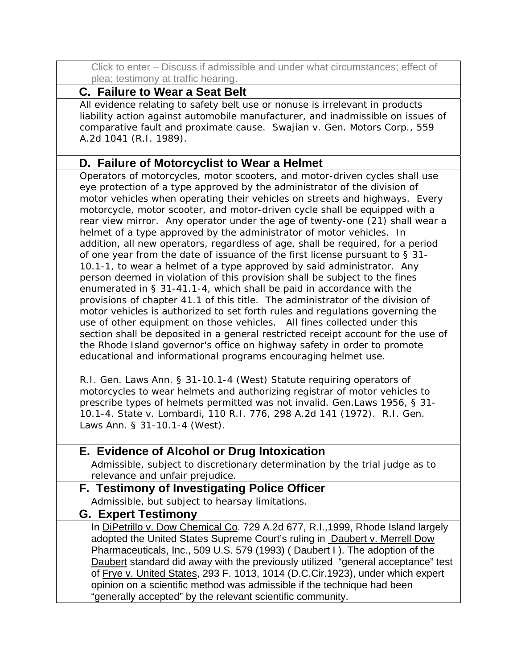Click to enter – Discuss if admissible and under what circumstances; effect of plea; testimony at traffic hearing.

# **C. Failure to Wear a Seat Belt**

All evidence relating to safety belt use or nonuse is irrelevant in products liability action against automobile manufacturer, and inadmissible on issues of comparative fault and proximate cause. *Swajian v. Gen. Motors Corp.*, 559 A.2d 1041 (R.I. 1989).

# **D. Failure of Motorcyclist to Wear a Helmet**

Operators of motorcycles, motor scooters, and motor-driven cycles shall use eye protection of a type approved by the administrator of the division of motor vehicles when operating their vehicles on streets and highways. Every motorcycle, motor scooter, and motor-driven cycle shall be equipped with a rear view mirror. Any operator under the age of twenty-one (21) shall wear a helmet of a type approved by the administrator of motor vehicles. In addition, all new operators, regardless of age, shall be required, for a period of one year from the date of issuance of the first license pursuant to § 31- 10.1-1, to wear a helmet of a type approved by said administrator. Any person deemed in violation of this provision shall be subject to the fines enumerated in § 31-41.1-4, which shall be paid in accordance with the provisions of chapter 41.1 of this title. The administrator of the division of motor vehicles is authorized to set forth rules and regulations governing the use of other equipment on those vehicles. All fines collected under this section shall be deposited in a general restricted receipt account for the use of the Rhode Island governor's office on highway safety in order to promote educational and informational programs encouraging helmet use.

R.I. Gen. Laws Ann. § 31-10.1-4 (West) Statute requiring operators of motorcycles to wear helmets and authorizing registrar of motor vehicles to prescribe types of helmets permitted was not invalid. Gen.Laws 1956, § 31- 10.1-4. State v. Lombardi, 110 R.I. 776, 298 A.2d 141 (1972). R.I. Gen. Laws Ann. § 31-10.1-4 (West).

| E. Evidence of Alcohol or Drug Intoxication                                      |
|----------------------------------------------------------------------------------|
| Admissible, subject to discretionary determination by the trial judge as to      |
| relevance and unfair prejudice.                                                  |
| F. Testimony of Investigating Police Officer                                     |
| Admissible, but subject to hearsay limitations.                                  |
| <b>G. Expert Testimony</b>                                                       |
| In DiPetrillo v. Dow Chemical Co. 729 A.2d 677, R.I., 1999, Rhode Island largely |
| adopted the United States Supreme Court's ruling in Daubert v. Merrell Dow       |
| Pharmaceuticals, Inc., 509 U.S. 579 (1993) (Daubert I). The adoption of the      |
| Daubert standard did away with the previously utilized "general acceptance" test |
| of Frye v. United States, 293 F. 1013, 1014 (D.C.Cir.1923), under which expert   |
| opinion on a scientific method was admissible if the technique had been          |
| "generally accepted" by the relevant scientific community.                       |
|                                                                                  |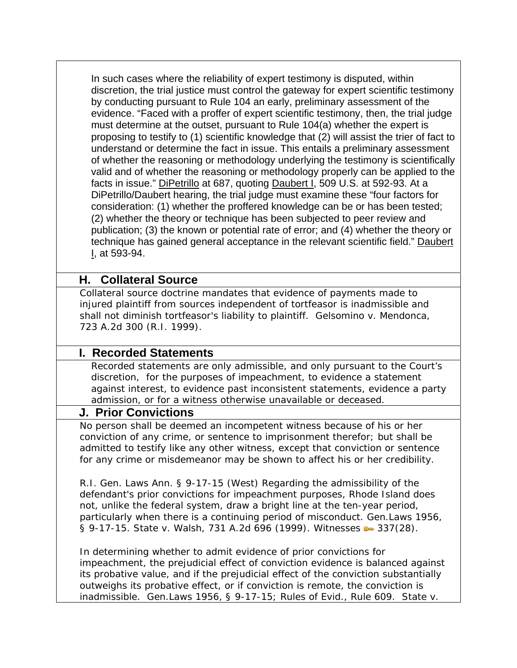In such cases where the reliability of expert testimony is disputed, within discretion, the trial justice must control the gateway for expert scientific testimony by conducting pursuant to Rule 104 an early, preliminary assessment of the evidence. "Faced with a proffer of expert scientific testimony, then, the trial judge must determine at the outset, pursuant to Rule 104(a) whether the expert is proposing to testify to (1) scientific knowledge that (2) will assist the trier of fact to understand or determine the fact in issue. This entails a preliminary assessment of whether the reasoning or methodology underlying the testimony is scientifically valid and of whether the reasoning or methodology properly can be applied to the facts in issue." DiPetrillo at 687, quoting Daubert I, 509 U.S. at 592-93. At a DiPetrillo/Daubert hearing, the trial judge must examine these "four factors for consideration: (1) whether the proffered knowledge can be or has been tested; (2) whether the theory or technique has been subjected to peer review and publication; (3) the known or potential rate of error; and (4) whether the theory or technique has gained general acceptance in the relevant scientific field." Daubert I, at 593-94.

# **H. Collateral Source**

Collateral source doctrine mandates that evidence of payments made to injured plaintiff from sources independent of tortfeasor is inadmissible and shall not diminish tortfeasor's liability to plaintiff. *Gelsomino v. Mendonca*, 723 A.2d 300 (R.I. 1999).

# **I. Recorded Statements**

Recorded statements are only admissible, and only pursuant to the Court's discretion, for the purposes of impeachment, to evidence a statement against interest, to evidence past inconsistent statements, evidence a party admission, or for a witness otherwise unavailable or deceased.

### **J. Prior Convictions**

No person shall be deemed an incompetent witness because of his or her conviction of any crime, or sentence to imprisonment therefor; but shall be admitted to testify like any other witness, except that conviction or sentence for any crime or misdemeanor may be shown to affect his or her credibility.

R.I. Gen. Laws Ann. § 9-17-15 (West) Regarding the admissibility of the defendant's prior convictions for impeachment purposes, Rhode Island does not, unlike the federal system, draw a bright line at the ten-year period, particularly when there is a continuing period of misconduct. Gen.Laws 1956, § 9-17-15. State v. Walsh, 731 A.2d 696 (1999). Witnesses  $\bullet$  337(28).

In determining whether to admit evidence of prior convictions for impeachment, the prejudicial effect of conviction evidence is balanced against its probative value, and if the prejudicial effect of the conviction substantially outweighs its probative effect, or if conviction is remote, the conviction is inadmissible. Gen.Laws 1956, § 9-17-15; Rules of Evid., Rule 609. *State v.*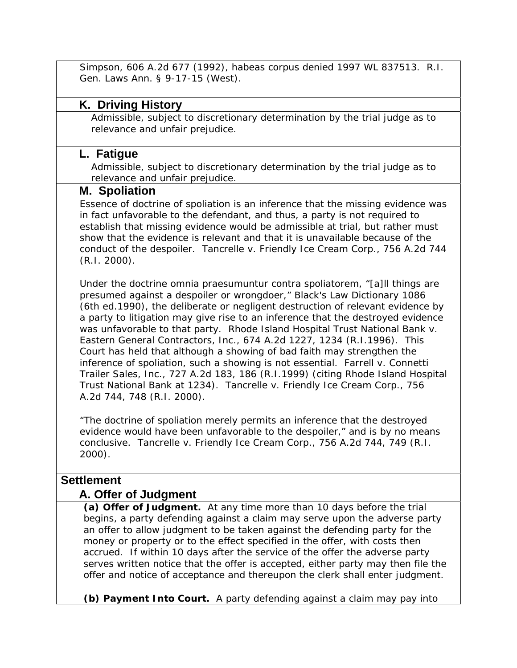*Simpson*, 606 A.2d 677 (1992), habeas corpus denied 1997 WL 837513. R.I. Gen. Laws Ann. § 9-17-15 (West).

# **K. Driving History**

Admissible, subject to discretionary determination by the trial judge as to relevance and unfair prejudice.

### **L. Fatigue**

Admissible, subject to discretionary determination by the trial judge as to relevance and unfair prejudice.

#### **M. Spoliation**

Essence of doctrine of spoliation is an inference that the missing evidence was in fact unfavorable to the defendant, and thus, a party is not required to establish that missing evidence would be admissible at trial, but rather must show that the evidence is relevant and that it is unavailable because of the conduct of the despoiler. *Tancrelle v. Friendly Ice Cream Corp.,* 756 A.2d 744 (R.I. 2000).

Under the doctrine *omnia praesumuntur contra spoliatorem,* "[a]ll things are presumed against a despoiler or wrongdoer," Black's Law Dictionary 1086 (6th ed.1990), the deliberate or negligent destruction of relevant evidence by a party to litigation may give rise to an inference that the destroyed evidence was unfavorable to that party. *Rhode Island Hospital Trust National Bank v. Eastern General Contractors, Inc.,* 674 A.2d 1227, 1234 (R.I.1996). This Court has held that although a showing of bad faith may strengthen the inference of spoliation, such a showing is not essential. *Farrell v. Connetti Trailer Sales, Inc.,* 727 A.2d 183, 186 (R.I.1999) (citing *Rhode Island Hospital Trust National Bank* at 1234). *Tancrelle v. Friendly Ice Cream Corp.,* 756 A.2d 744, 748 (R.I. 2000).

"The doctrine of spoliation merely *permits* an inference that the destroyed evidence would have been unfavorable to the despoiler," and is by no means conclusive. *Tancrelle v. Friendly Ice Cream Corp.,* 756 A.2d 744, 749 (R.I. 2000).

# **Settlement**

### **A. Offer of Judgment**

**(a) Offer of Judgment.** At any time more than 10 days before the trial begins, a party defending against a claim may serve upon the adverse party an offer to allow judgment to be taken against the defending party for the money or property or to the effect specified in the offer, with costs then accrued. If within 10 days after the service of the offer the adverse party serves written notice that the offer is accepted, either party may then file the offer and notice of acceptance and thereupon the clerk shall enter judgment.

**(b) Payment Into Court.** A party defending against a claim may pay into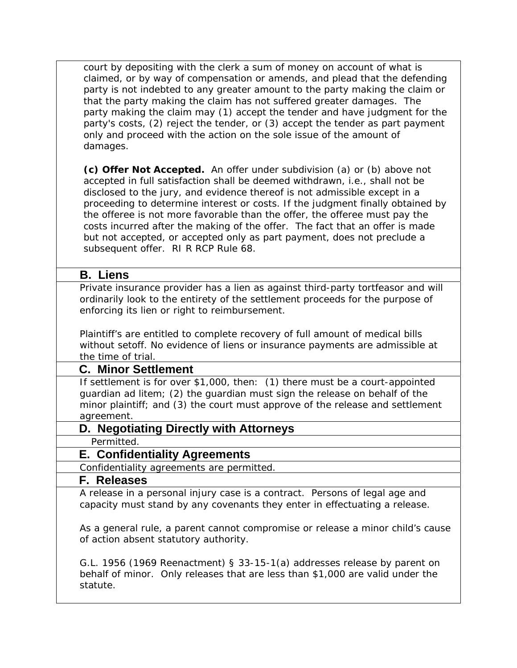| court by depositing with the clerk a sum of money on account of what is        |
|--------------------------------------------------------------------------------|
| claimed, or by way of compensation or amends, and plead that the defending     |
| party is not indebted to any greater amount to the party making the claim or   |
| that the party making the claim has not suffered greater damages. The          |
| party making the claim may (1) accept the tender and have judgment for the     |
| party's costs, (2) reject the tender, or (3) accept the tender as part payment |
| only and proceed with the action on the sole issue of the amount of            |
| damages.                                                                       |

**(c) Offer Not Accepted.** An offer under subdivision (a) or (b) above not accepted in full satisfaction shall be deemed withdrawn, i.e., shall not be disclosed to the jury, and evidence thereof is not admissible except in a proceeding to determine interest or costs. If the judgment finally obtained by the offeree is not more favorable than the offer, the offeree must pay the costs incurred after the making of the offer. The fact that an offer is made but not accepted, or accepted only as part payment, does not preclude a subsequent offer. RI R RCP Rule 68.

#### **B. Liens**

Private insurance provider has a lien as against third-party tortfeasor and will ordinarily look to the entirety of the settlement proceeds for the purpose of enforcing its lien or right to reimbursement.

Plaintiff's are entitled to complete recovery of full amount of medical bills without setoff. No evidence of liens or insurance payments are admissible at the time of trial.

### **C. Minor Settlement**

If settlement is for over \$1,000, then: (1) there must be a court-appointed guardian ad litem; (2) the guardian must sign the release on behalf of the minor plaintiff; and (3) the court must approve of the release and settlement agreement.

### **D. Negotiating Directly with Attorneys**

Permitted.

### **E. Confidentiality Agreements**

Confidentiality agreements are permitted.

#### **F. Releases**

A release in a personal injury case is a contract. Persons of legal age and capacity must stand by any covenants they enter in effectuating a release.

As a general rule, a parent cannot compromise or release a minor child's cause of action absent statutory authority.

G.L. 1956 (1969 Reenactment) § 33-15-1(a) addresses release by parent on behalf of minor. Only releases that are less than \$1,000 are valid under the statute.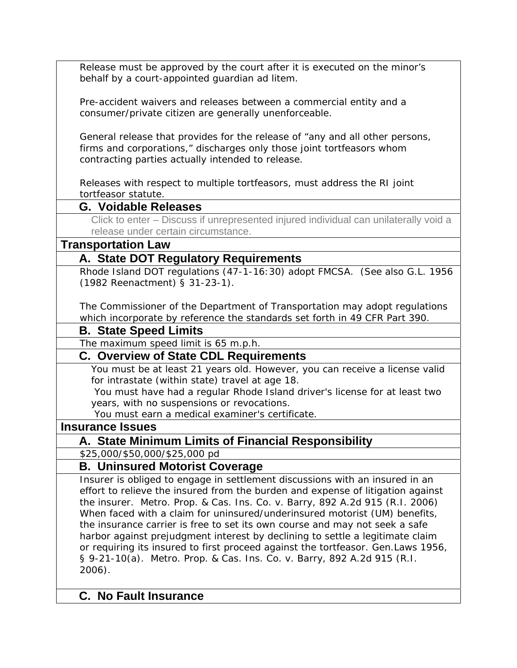Release must be approved by the court after it is executed on the minor's behalf by a court-appointed guardian ad litem.

Pre-accident waivers and releases between a commercial entity and a consumer/private citizen are generally unenforceable.

General release that provides for the release of "any and all other persons, firms and corporations," discharges only those joint tortfeasors whom contracting parties actually intended to release.

Releases with respect to multiple tortfeasors, must address the RI joint tortfeasor statute.

# **G. Voidable Releases**

Click to enter – Discuss if unrepresented injured individual can unilaterally void a release under certain circumstance.

### **Transportation Law**

# **A. State DOT Regulatory Requirements**

Rhode Island DOT regulations (47-1-16:30) adopt FMCSA. (See also G.L. 1956 (1982 Reenactment) § 31-23-1).

The Commissioner of the Department of Transportation may adopt regulations which incorporate by reference the standards set forth in 49 CFR Part 390.

### **B. State Speed Limits**

The maximum speed limit is 65 m.p.h.

# **C. Overview of State CDL Requirements**

You must be at least 21 years old. However, you can receive a license valid for intrastate (within state) travel at age 18.

 You must have had a regular Rhode Island driver's license for at least two years, with no suspensions or revocations.

You must earn a medical examiner's certificate.

### **Insurance Issues**

# **A. State Minimum Limits of Financial Responsibility**

\$25,000/\$50,000/\$25,000 pd

# **B. Uninsured Motorist Coverage**

Insurer is obliged to engage in settlement discussions with an insured in an effort to relieve the insured from the burden and expense of litigation against the insurer. *Metro. Prop. & Cas. Ins. Co. v. Barry*, 892 A.2d 915 (R.I. 2006) When faced with a claim for uninsured/underinsured motorist (UM) benefits, the insurance carrier is free to set its own course and may not seek a safe harbor against prejudgment interest by declining to settle a legitimate claim or requiring its insured to first proceed against the tortfeasor. Gen.Laws 1956, § 9-21-10(a). *Metro. Prop. & Cas. Ins. Co. v. Barry*, 892 A.2d 915 (R.I. 2006).

### **C. No Fault Insurance**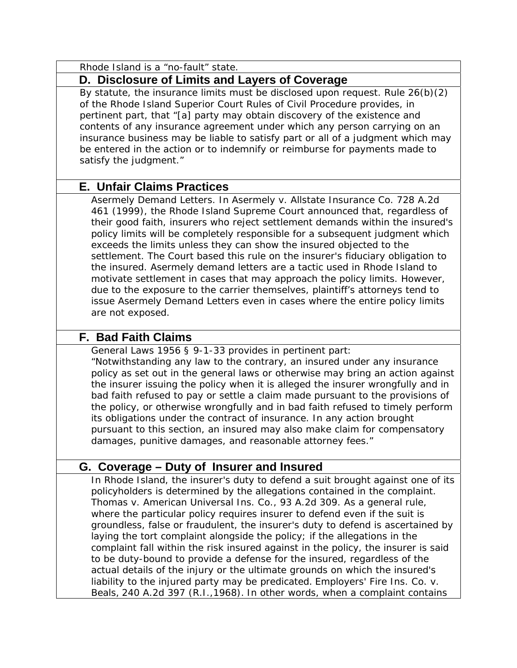| Rhode Island is a "no-fault" state.                                                                                                                                                                                                                                                                                                                                                                                                                                                                                                                                                                                                                                                                                                                                                                                                                                                                   |
|-------------------------------------------------------------------------------------------------------------------------------------------------------------------------------------------------------------------------------------------------------------------------------------------------------------------------------------------------------------------------------------------------------------------------------------------------------------------------------------------------------------------------------------------------------------------------------------------------------------------------------------------------------------------------------------------------------------------------------------------------------------------------------------------------------------------------------------------------------------------------------------------------------|
| D. Disclosure of Limits and Layers of Coverage                                                                                                                                                                                                                                                                                                                                                                                                                                                                                                                                                                                                                                                                                                                                                                                                                                                        |
| By statute, the insurance limits must be disclosed upon request. Rule 26(b)(2)<br>of the Rhode Island Superior Court Rules of Civil Procedure provides, in<br>pertinent part, that "[a] party may obtain discovery of the existence and<br>contents of any insurance agreement under which any person carrying on an<br>insurance business may be liable to satisfy part or all of a judgment which may<br>be entered in the action or to indemnify or reimburse for payments made to<br>satisfy the judgment."                                                                                                                                                                                                                                                                                                                                                                                       |
| <b>E. Unfair Claims Practices</b>                                                                                                                                                                                                                                                                                                                                                                                                                                                                                                                                                                                                                                                                                                                                                                                                                                                                     |
| Asermely Demand Letters. In Asermely v. Allstate Insurance Co. 728 A.2d<br>461 (1999), the Rhode Island Supreme Court announced that, regardless of<br>their good faith, insurers who reject settlement demands within the insured's<br>policy limits will be completely responsible for a subsequent judgment which<br>exceeds the limits unless they can show the insured objected to the<br>settlement. The Court based this rule on the insurer's fiduciary obligation to<br>the insured. Asermely demand letters are a tactic used in Rhode Island to<br>motivate settlement in cases that may approach the policy limits. However,<br>due to the exposure to the carrier themselves, plaintiff's attorneys tend to<br>issue Asermely Demand Letters even in cases where the entire policy limits<br>are not exposed.                                                                            |
| <b>F. Bad Faith Claims</b>                                                                                                                                                                                                                                                                                                                                                                                                                                                                                                                                                                                                                                                                                                                                                                                                                                                                            |
| General Laws 1956 § 9-1-33 provides in pertinent part:<br>"Notwithstanding any law to the contrary, an insured under any insurance<br>policy as set out in the general laws or otherwise may bring an action against<br>the insurer issuing the policy when it is alleged the insurer wrongfully and in<br>bad faith refused to pay or settle a claim made pursuant to the provisions of<br>the policy, or otherwise wrongfully and in bad faith refused to timely perform<br>its obligations under the contract of insurance. In any action brought<br>pursuant to this section, an insured may also make claim for compensatory<br>damages, punitive damages, and reasonable attorney fees."                                                                                                                                                                                                        |
| G. Coverage – Duty of Insurer and Insured                                                                                                                                                                                                                                                                                                                                                                                                                                                                                                                                                                                                                                                                                                                                                                                                                                                             |
| In Rhode Island, the insurer's duty to defend a suit brought against one of its<br>policyholders is determined by the allegations contained in the complaint.<br>Thomas v. American Universal Ins. Co., 93 A.2d 309. As a general rule,<br>where the particular policy requires insurer to defend even if the suit is<br>groundless, false or fraudulent, the insurer's duty to defend is ascertained by<br>laying the tort complaint alongside the policy; if the allegations in the<br>complaint fall within the risk insured against in the policy, the insurer is said<br>to be duty-bound to provide a defense for the insured, regardless of the<br>actual details of the injury or the ultimate grounds on which the insured's<br>liability to the injured party may be predicated. Employers' Fire Ins. Co. v.<br>Beals, 240 A.2d 397 (R.I., 1968). In other words, when a complaint contains |